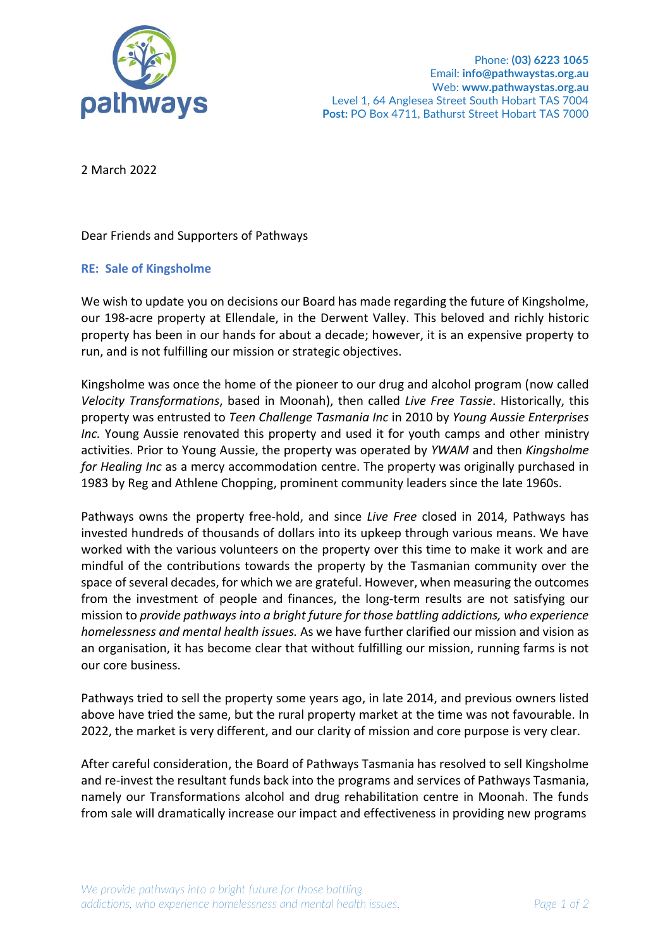

2 March 2022

Dear Friends and Supporters of Pathways

## **RE: Sale of Kingsholme**

We wish to update you on decisions our Board has made regarding the future of Kingsholme, our 198-acre property at Ellendale, in the Derwent Valley. This beloved and richly historic property has been in our hands for about a decade; however, it is an expensive property to run, and is not fulfilling our mission or strategic objectives.

Kingsholme was once the home of the pioneer to our drug and alcohol program (now called *Velocity Transformations*, based in Moonah), then called *Live Free Tassie*. Historically, this property was entrusted to *Teen Challenge Tasmania Inc* in 2010 by *Young Aussie Enterprises Inc.* Young Aussie renovated this property and used it for youth camps and other ministry activities. Prior to Young Aussie, the property was operated by *YWAM* and then *Kingsholme for Healing Inc* as a mercy accommodation centre. The property was originally purchased in 1983 by Reg and Athlene Chopping, prominent community leaders since the late 1960s.

Pathways owns the property free-hold, and since *Live Free* closed in 2014, Pathways has invested hundreds of thousands of dollars into its upkeep through various means. We have worked with the various volunteers on the property over this time to make it work and are mindful of the contributions towards the property by the Tasmanian community over the space of several decades, for which we are grateful. However, when measuring the outcomes from the investment of people and finances, the long-term results are not satisfying our mission to *provide pathways into a bright future for those battling addictions, who experience homelessness and mental health issues.* As we have further clarified our mission and vision as an organisation, it has become clear that without fulfilling our mission, running farms is not our core business.

Pathways tried to sell the property some years ago, in late 2014, and previous owners listed above have tried the same, but the rural property market at the time was not favourable. In 2022, the market is very different, and our clarity of mission and core purpose is very clear.

After careful consideration, the Board of Pathways Tasmania has resolved to sell Kingsholme and re-invest the resultant funds back into the programs and services of Pathways Tasmania, namely our Transformations alcohol and drug rehabilitation centre in Moonah. The funds from sale will dramatically increase our impact and effectiveness in providing new programs